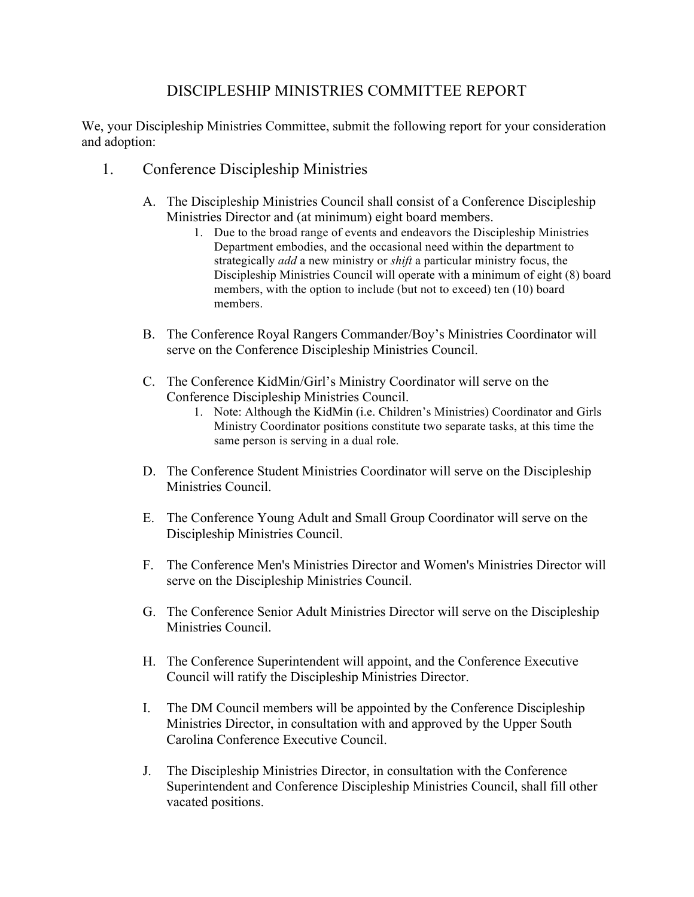## DISCIPLESHIP MINISTRIES COMMITTEE REPORT

We, your Discipleship Ministries Committee, submit the following report for your consideration and adoption:

- 1. Conference Discipleship Ministries
	- A. The Discipleship Ministries Council shall consist of a Conference Discipleship Ministries Director and (at minimum) eight board members.
		- 1. Due to the broad range of events and endeavors the Discipleship Ministries Department embodies, and the occasional need within the department to strategically *add* a new ministry or *shift* a particular ministry focus, the Discipleship Ministries Council will operate with a minimum of eight (8) board members, with the option to include (but not to exceed) ten (10) board members.
	- B. The Conference Royal Rangers Commander/Boy's Ministries Coordinator will serve on the Conference Discipleship Ministries Council.
	- C. The Conference KidMin/Girl's Ministry Coordinator will serve on the Conference Discipleship Ministries Council.
		- 1. Note: Although the KidMin (i.e. Children's Ministries) Coordinator and Girls Ministry Coordinator positions constitute two separate tasks, at this time the same person is serving in a dual role.
	- D. The Conference Student Ministries Coordinator will serve on the Discipleship Ministries Council.
	- E. The Conference Young Adult and Small Group Coordinator will serve on the Discipleship Ministries Council.
	- F. The Conference Men's Ministries Director and Women's Ministries Director will serve on the Discipleship Ministries Council.
	- G. The Conference Senior Adult Ministries Director will serve on the Discipleship Ministries Council.
	- H. The Conference Superintendent will appoint, and the Conference Executive Council will ratify the Discipleship Ministries Director.
	- I. The DM Council members will be appointed by the Conference Discipleship Ministries Director, in consultation with and approved by the Upper South Carolina Conference Executive Council.
	- J. The Discipleship Ministries Director, in consultation with the Conference Superintendent and Conference Discipleship Ministries Council, shall fill other vacated positions.